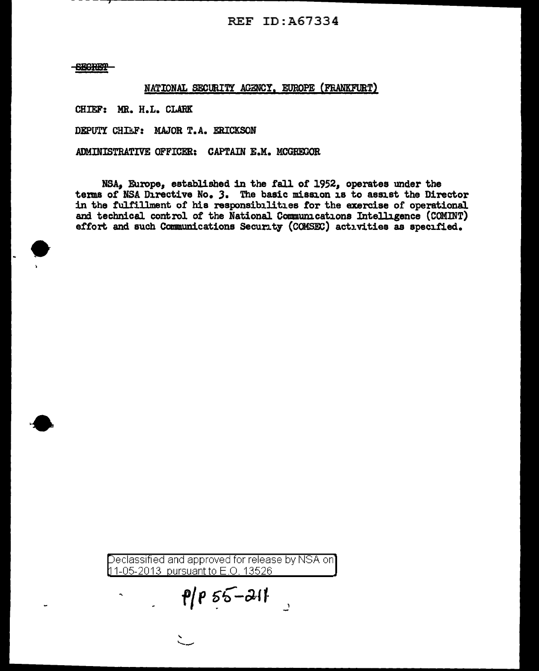## REF ID:A67334

**SEGRET** 

## NATIONAL SECURITY AGENCY, EUROPE (FRANKFURT}

CHIEF: MR. H.L. CLARK

DEPUTY CHIEF: MAJOR T.A. ERICKSON

ADMINISTRATIVE OFFICER: CAPTAIN E.M. MCGREGOR

NSA, Europe, established in the fall of 1952, operates under the terms of NSA Directive No. 3. The basic mission is to assist the Director in the fulfillment of his responsibilities tor the exercise of operational and technical control of the National Communications Intelligence (COMINT) effort and such Communications Security (COMSEC) activities as specified.

eclassified and approved for release by NSA on 11-05-2013 pursuant to E.O. 13526

 $\rho/\rho$  55-211

" ---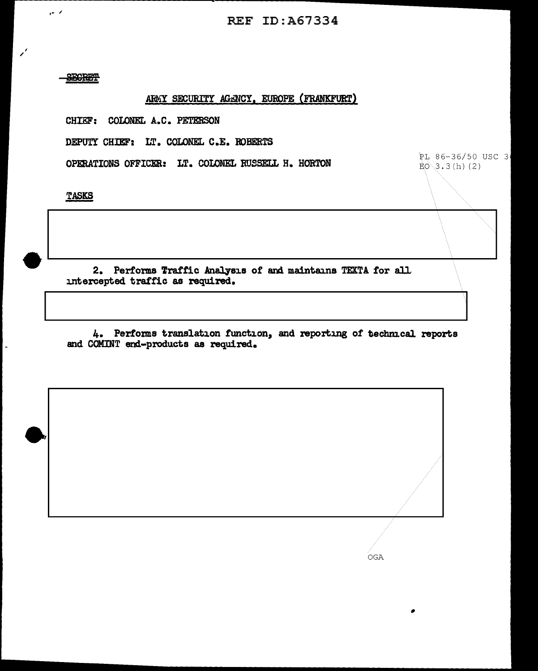PL 86-36/50 USC 3

 $EO(3.3(h)$  (2)

**SECRET** 

 $\sim$   $\times$ 

## ARMY SECURITY AGENCY, EUROPE (FRANKFURT)

CHIEF: COLONEL A.C. PETERSON

DEPUTY CHIEF: LT. COLONEL C.E. ROBERTS

OPERATIONS OFFICER: LT. COLONEL RUSSELL H. HORTON

**TASKS** 

2. Performs Traffic Analysis of and maintains TEXTA for all intercepted traffic as required.

4. Performs translation function, and reporting of technical reports and COMINT end-products as required.

OGA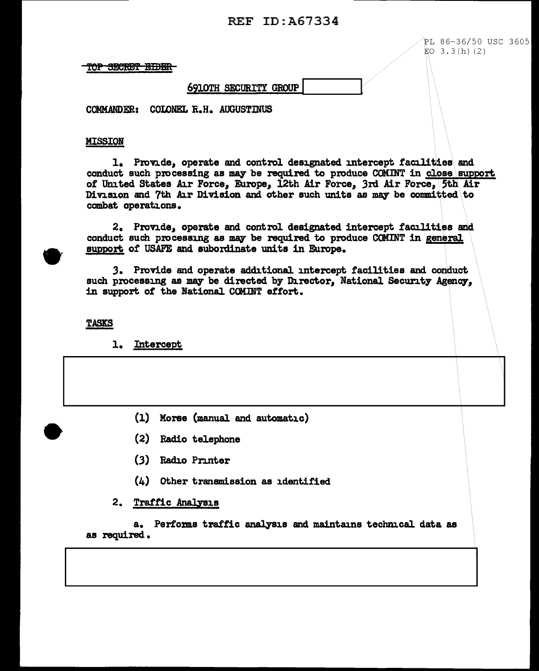## REF ID:A67334

 $FL 86-36/50$  USC 3605  $EO$  3.3(h)(2)

 $\vert$ 

TOP SECRET EIDER

## 6910TH SECURITY GROUP!

COMMANDER: COLONEL R.H. AUGUSTINUS

#### MISSION

1. Provide, operate and control designated intercept facilities\ and conduct such processing as may be required to produce COMINT in close support. of United States Air Force, Europe, 12th Air Force, 3rd Air Force, 5th Air Division and 7th Air Division and other such units as may be committed to combat operations.

2. Provide, operate and control designated intercept facilities and. conduct such processing as may be required to produce COMINT in general support of USAFE and subordinate units in Europe.

.3. Provide and operate additional. intercept facilities and conduct such processing as may be directed by Director, National Security Agency, in support of the National COMINT effort.

**TASKS** 

**e** 

1. Intercept

- (1) Moree (manual and automatic)
- (2) Radio telephone
- (3) Radio Printer
- (4) other transmission as identified

## 2. Traffic Analysis

a. Performs traffic analysis and maintains technical data as as required •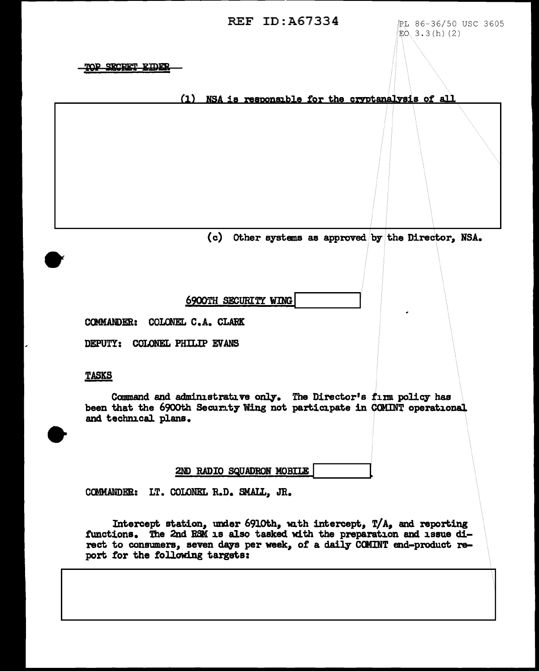**REF ID:A67334** RL 86-36/50 USC 3605

 $EO(3.3(h)(2))$ 

I

TOP SECRET EIDER

(1) NSA is responsible for the cryptanalysis of all

(c) Other systems as approved by the Director, NSA.

6900TH SECURITY WING

COMMANDER: COLONEL C.A. CLARK

DEPUTY: COLONEL PHILIP EV ANS

#### TASKS

Command and administrative only. The Director's firm policy has been that the 6900th Security Wing not participate in COMINT operational and technical. plans.

2ND RADIO SQUADRON MOBILE

COMMANDER: LT. COLONEL R.D. SMALL, JR.

Intercept station, under 6910th, with intercept,  $T/A$ , and reporting functions. The 2nd BSM is al.so tasked with the preparation and issue direct to consumers, seven days per week, of a daily COMINT end-product report for the following targets: